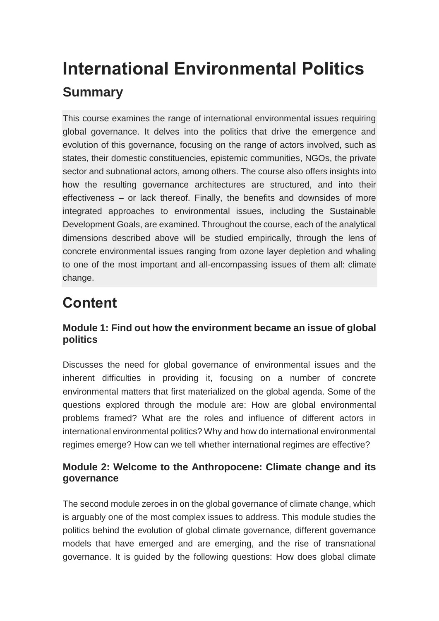# **International Environmental Politics Summary**

This course examines the range of international environmental issues requiring global governance. It delves into the politics that drive the emergence and evolution of this governance, focusing on the range of actors involved, such as states, their domestic constituencies, epistemic communities, NGOs, the private sector and subnational actors, among others. The course also offers insights into how the resulting governance architectures are structured, and into their effectiveness – or lack thereof. Finally, the benefits and downsides of more integrated approaches to environmental issues, including the Sustainable Development Goals, are examined. Throughout the course, each of the analytical dimensions described above will be studied empirically, through the lens of concrete environmental issues ranging from ozone layer depletion and whaling to one of the most important and all-encompassing issues of them all: climate change.

## **Content**

#### **Module 1: Find out how the environment became an issue of global politics**

Discusses the need for global governance of environmental issues and the inherent difficulties in providing it, focusing on a number of concrete environmental matters that first materialized on the global agenda. Some of the questions explored through the module are: How are global environmental problems framed? What are the roles and influence of different actors in international environmental politics? Why and how do international environmental regimes emerge? How can we tell whether international regimes are effective?

#### **Module 2: Welcome to the Anthropocene: Climate change and its governance**

The second module zeroes in on the global governance of climate change, which is arguably one of the most complex issues to address. This module studies the politics behind the evolution of global climate governance, different governance models that have emerged and are emerging, and the rise of transnational governance. It is guided by the following questions: How does global climate